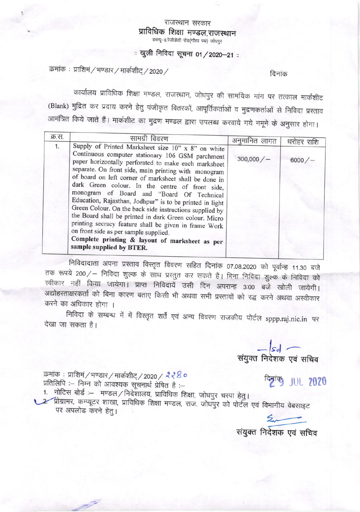## राजस्थान सरकार प्राविधिक शिक्षा मण्डल,राजस्थान डब्ल्यू-6,रेजीडेंसी रोड(गौरव पथ) जोधपुर

## : खुली निविदा सूचना 01 / 2020-21 :

क्रमांक: प्राशिमं / भण्डार / मार्कशीट् / 2020 /

## दिनांक

कार्यालय प्राविधिक शिक्षा मण्डल, राजस्थान, जोधपुर की सामयिक मांग पर तत्काल मार्कशीट (Blank) मुद्रित कर प्रदाय करने हेतु पंजीकृत वितरकों, आपूर्तिकर्ताओं व मुद्रणकर्ताओं से निविदा प्रस्ताव आमंत्रित किये जाते हैं। मार्कशीट का मुद्रण मण्डल द्वारा उपलब्ध करवाये गये नमूने के अनुसार होगा।

| क्र.स. | सामग्री विवरण                                                                                                                                                                                                                                                                                                                                                                                                                                                                                                                                                                                                                                                                                                                                        | अनुमानित लागत | धरोहर राशि |
|--------|------------------------------------------------------------------------------------------------------------------------------------------------------------------------------------------------------------------------------------------------------------------------------------------------------------------------------------------------------------------------------------------------------------------------------------------------------------------------------------------------------------------------------------------------------------------------------------------------------------------------------------------------------------------------------------------------------------------------------------------------------|---------------|------------|
| 1.     | Supply of Printed Marksheet size $10"$ x $8"$ on white<br>Continuous computer stationary 106 GSM parchment<br>paper horizontally perforated to make each marksheet<br>separate. On front side, main printing with monogram<br>of board on left corner of marksheet shall be done in<br>dark Green colour. In the centre of front side,<br>monogram of Board and "Board Of Technical<br>Education, Rajasthan, Jodhpur" is to be printed in light<br>Green Colour. On the back side instructions supplied by<br>the Board shall be printed in dark Green colour. Micro<br>printing secracy feature shall be given in frame Work<br>on front side as per sample supplied.<br>Complete printing & layout of marksheet as per<br>sample supplied by BTER. | 300,000/      | 6000/      |

निविदादाता अपना प्रस्ताव विस्तृत विवरण सहित दिनांक 07.08.2020 को पूर्वान्ह 11.30 बजे तक रूपये 200/– निविदा शुल्क के साथ प्रस्तुत कर सकते है। बिना निविदा शुल्क के निविदा को स्वीकार नहीं किया जायेगा। प्राप्त निविदायें उसी दिन अपरान्ह 3:00 बजे खोली जायेगी। अद्योहस्ताक्षरकर्ता को बिना कारण बताए किसी भी अथवा सभी प्रस्तावों को रद्ध करने अथवा अस्वीकार करने का अधिकार होगा ।

निविदा के सम्बन्ध में में विस्तृत शर्तें एवं अन्य विवरण राजकीय पोर्टल sppp.raj.nic.in पर देखा जा सकता है।

— Sd —<br>संयुक्त निदेशक एवं सचिव

क्रमांक: प्राशिमं / भण्डार / मार्कशीट् / 2020 / 228 ० प्रतिलिपि :- निम्न को आवश्यक सूचनार्थ प्रेषित है :-

1. नोटिस बोर्ड :-- मण्डल / निदेशालय, प्राविधिक शिक्षा, जोधपुर चस्पा हेतु।

2. प्रीग्रामर, कम्प्यूटर शाखा, प्राविधिक शिक्षा मण्डल, राज. जोधपुर को पोर्टल एवं विभागीय वेबसाइट पर अपलोड करने हेतू।

**Raging JUL 2020** 

संयुक्त निर्देशक एवं सचिव